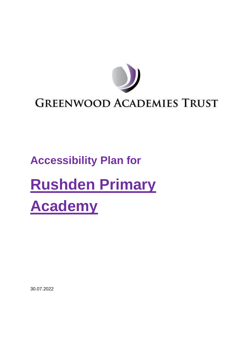

## **GREENWOOD ACADEMIES TRUST**

# **Accessibility Plan for**

# **Rushden Primary Academy**

30.07.2022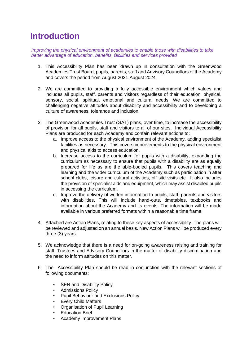## **Introduction**

*Improving the physical environment of academies to enable those with disabilities to take better advantage of education, benefits, facilities and services provided*

- 1. This Accessibility Plan has been drawn up in consultation with the Greenwood Academies Trust Board, pupils, parents, staff and Advisory Councillors of the Academy and covers the period from August 2021-August 2024.
- 2. We are committed to providing a fully accessible environment which values and includes all pupils, staff, parents and visitors regardless of their education, physical, sensory, social, spiritual, emotional and cultural needs. We are committed to challenging negative attitudes about disability and accessibility and to developing a culture of awareness, tolerance and inclusion.
- 3. The Greenwood Academies Trust (GAT) plans, over time, to increase the accessibility of provision for all pupils, staff and visitors to all of our sites. Individual Accessibility Plans are produced for each Academy and contain relevant actions to:
	- a. Improve access to the physical environment of the Academy, adding specialist facilities as necessary. This covers improvements to the physical environment and physical aids to access education.
	- b. Increase access to the curriculum for pupils with a disability, expanding the curriculum as necessary to ensure that pupils with a disability are as equally prepared for life as are the able-bodied pupils. This covers teaching and learning and the wider curriculum of the Academy such as participation in after school clubs, leisure and cultural activities, off site visits etc. It also includes the provision of specialist aids and equipment, which may assist disabled pupils in accessing the curriculum.
	- c. Improve the delivery of written information to pupils, staff, parents and visitors with disabilities. This will include hand-outs, timetables, textbooks and information about the Academy and its events. The information will be made available in various preferred formats within a reasonable time frame.
- 4. Attached are Action Plans, relating to these key aspects of accessibility. The plans will be reviewed and adjusted on an annual basis. New Action Plans will be produced every three (3) years.
- 5. We acknowledge that there is a need for on-going awareness raising and training for staff, Trustees and Advisory Councillors in the matter of disability discrimination and the need to inform attitudes on this matter.
- 6. The Accessibility Plan should be read in conjunction with the relevant sections of following documents:
	- **SEN and Disability Policy**
	- Admissions Policy
	- Pupil Behaviour and Exclusions Policy
	- Every Child Matters
	- Organisation of Pupil Learning
	- Education Brief
	- Academy Improvement Plans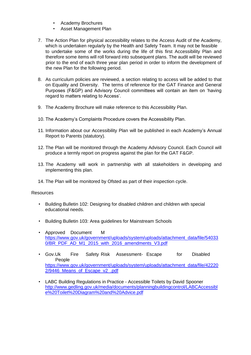- Academy Brochures
- Asset Management Plan
- 7. The Action Plan for physical accessibility relates to the Access Audit of the Academy, which is undertaken regularly by the Health and Safety Team. It may not be feasible to undertake some of the works during the life of this first Accessibility Plan and therefore some items will roll forward into subsequent plans. The audit will be reviewed prior to the end of each three year plan period in order to inform the development of the new Plan for the following period.
- 8. As curriculum policies are reviewed, a section relating to access will be added to that on Equality and Diversity. The terms of reference for the GAT Finance and General Purposes (F&GP) and Advisory Council committees will contain an item on 'having regard to matters relating to Access'.
- 9. The Academy Brochure will make reference to this Accessibility Plan.
- 10. The Academy's Complaints Procedure covers the Accessibility Plan.
- 11. Information about our Accessibility Plan will be published in each Academy's Annual Report to Parents (statutory).
- 12. The Plan will be monitored through the Academy Advisory Council. Each Council will produce a termly report on progress against the plan for the GAT F&GP.
- 13. The Academy will work in partnership with all stakeholders in developing and implementing this plan.
- 14. The Plan will be monitored by Ofsted as part of their inspection cycle.

#### **Resources**

- Building Bulletin 102: Designing for disabled children and children with special educational needs.
- Building Bulletin 103: Area guidelines for Mainstream Schools
- Approved Document M [https://www.gov.uk/government/uploads/system/uploads/attachment\\_data/file/54033](https://www.gov.uk/government/uploads/system/uploads/attachment_data/file/540330/BR_PDF_AD_M1_2015_with_2016_amendments_V3.pdf)  [0/BR\\_PDF\\_AD\\_M1\\_2015\\_with\\_2016\\_amendments\\_V3.pdf](https://www.gov.uk/government/uploads/system/uploads/attachment_data/file/540330/BR_PDF_AD_M1_2015_with_2016_amendments_V3.pdf)
- Gov.Uk Fire Safety Risk Assessment- Escape for Disabled People [https://www.gov.uk/government/uploads/system/uploads/attachment\\_data/file/42220](https://www.gov.uk/government/uploads/system/uploads/attachment_data/file/422202/9446_Means_of_Escape_v2_.pdf)  [2/9446\\_Means\\_of\\_Escape\\_v2\\_.pdf](https://www.gov.uk/government/uploads/system/uploads/attachment_data/file/422202/9446_Means_of_Escape_v2_.pdf)
- LABC Building Regulations in Practice Accessible Toilets by David Spooner [http://www.gedling.gov.uk/media/documents/planningbuildingcontrol/LABCAccessibl](http://www.gedling.gov.uk/media/documents/planningbuildingcontrol/LABCAccessible%20Toilet%20Diagram%20and%20Advice.pdf)  [e%20Toilet%20Diagram%20and%20Advice.pdf](http://www.gedling.gov.uk/media/documents/planningbuildingcontrol/LABCAccessible%20Toilet%20Diagram%20and%20Advice.pdf)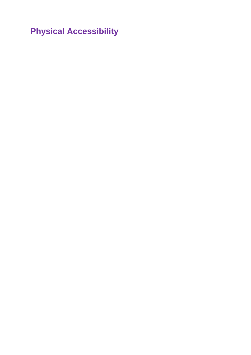**Physical Accessibility**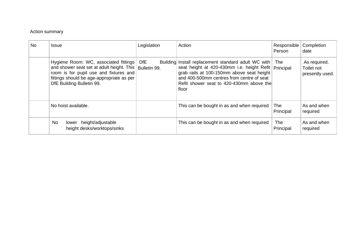#### Action summary

| <b>No</b> | <b>Issue</b>                                                                                                                                                                                                          | Legislation | Action                                                                                                                                                                                                                                                       | Responsible<br>Person | Completion<br>date                            |
|-----------|-----------------------------------------------------------------------------------------------------------------------------------------------------------------------------------------------------------------------|-------------|--------------------------------------------------------------------------------------------------------------------------------------------------------------------------------------------------------------------------------------------------------------|-----------------------|-----------------------------------------------|
|           | Hygiene Room: WC, associated fittings<br>and shower seat set at adult height. This   Bulletin 99.<br>room is for pupil use and fixtures and<br>fittings should be age-appropriate as per<br>DfE Building Bulletin 99. | <b>DfE</b>  | Building Install replacement standard adult WC with<br>seat height at 420-430mm i.e. height Refit   Principal<br>grab rails at 100-150mm above seat height<br>and 400-500mm centres from centre of seat<br>Refit shower seat to 420-430mm above the<br>floor | The                   | As required.<br>Toilet not<br>presently used. |
|           | No hoist available.                                                                                                                                                                                                   |             | This can be bought in as and when required                                                                                                                                                                                                                   | The<br>Principal      | As and when<br>required                       |
|           | No<br>height/adjustable<br>lower<br>height desks/worktops/sinks                                                                                                                                                       |             | This can be bought in as and when required                                                                                                                                                                                                                   | The l<br>Principal    | As and when<br>required                       |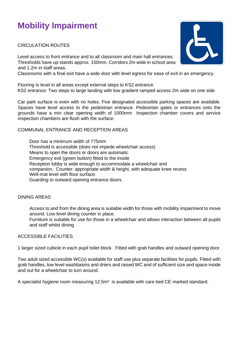## **Mobility Impairment**

CIRCULATION ROUTES

Level access to front entrance and to all classroom and main hall entrances. Thresholds have up-stands approx. 150mm. Corridors 2m wide in school area and 1.2m in staff areas.

Classrooms with a final exit have a wide door with level egress for ease of exit in an emergency.

Flooring is level in all areas except external steps to KS2 entrance. KS2 entrance: Two steps to large landing with low gradient ramped access 2m wide on one side

Car park surface is even with no holes. Five designated accessible parking spaces are available. Spaces have level access to the pedestrian entrance. Pedestrian gates or entrances onto the grounds have a min clear opening width of 1000mm Inspection chamber covers and service inspection chambers are flush with the surface.

#### COMMUNAL ENTRANCE AND RECEPTION AREAS

Door has a minimum width of 775mm Threshold is accessible (does not impede wheelchair access) Means to open the doors or doors are automatic Emergency exit (green button) fitted to the inside Reception lobby is wide enough to accommodate a wheelchair and companion. Counter: appropriate width & height, with adequate knee recess Well-mat level with floor surface. Guarding to outward opening entrance doors.

#### DINING AREAS

Access to and from the dining area is suitable width for those with mobility impairment to move around. Low level dining counter in place.

Furniture is suitable for use for those in a wheelchair and allows interaction between all pupils and staff whilst dining.

#### ACCESSIBLE FACILITIES

1 larger sized cubicle in each pupil toilet block. Fitted with grab handles and outward opening door.

Two adult sized accessible WC(s) available for staff use plus separate facilities for pupils. Fitted with grab handles, low level washbasins and driers and raised WC and of sufficient size and space inside and out for a wheelchair to turn around.

A specialist hygiene room measuring 12.5m² is available with care bed CE marked standard.

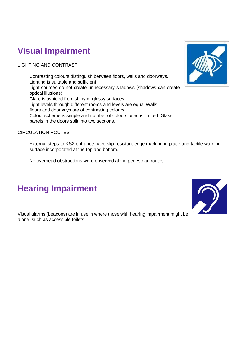## **Visual Impairment**

LIGHTING AND CONTRAST

Contrasting colours distinguish between floors, walls and doorways. Lighting is suitable and sufficient Light sources do not create unnecessary shadows (shadows can create optical illusions) Glare is avoided from shiny or glossy surfaces Light levels through different rooms and levels are equal Walls, floors and doorways are of contrasting colours. Colour scheme is simple and number of colours used is limited Glass panels in the doors split into two sections.

#### CIRCULATION ROUTES

External steps to KS2 entrance have slip-resistant edge marking in place and tactile warning surface incorporated at the top and bottom.

No overhead obstructions were observed along pedestrian routes

## **Hearing Impairment**

Visual alarms (beacons) are in use in where those with hearing impairment might be alone, such as accessible toilets



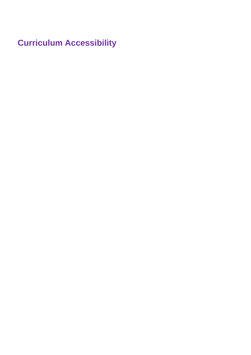**Curriculum Accessibility**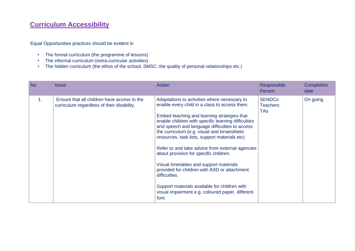### **Curriculum Accessibility**

Equal Opportunities practices should be evident in

- The formal curriculum (the programme of lessons)
- The informal curriculum (extra-curricular activities)
- The hidden curriculum (the ethos of the school, SMSC, the quality of personal relationships etc.)

| No             | Issue                                                                                     | Action                                                                                                                                                                                                                                                                                                                                                                                                                                                                                                                                                                                                                                                                        | Responsible<br>Person                          | Completion<br>date |
|----------------|-------------------------------------------------------------------------------------------|-------------------------------------------------------------------------------------------------------------------------------------------------------------------------------------------------------------------------------------------------------------------------------------------------------------------------------------------------------------------------------------------------------------------------------------------------------------------------------------------------------------------------------------------------------------------------------------------------------------------------------------------------------------------------------|------------------------------------------------|--------------------|
| $\mathbf{1}$ . | Ensure that all children have access to the<br>curriculum regardless of their disability. | Adaptations to activities where necessary to<br>enable every child in a class to access them.<br>Embed teaching and learning strategies that<br>enable children with specific learning difficulties<br>and speech and language difficulties to access<br>the curriculum (e.g. visual and kinaesthetic<br>resources, task lists, support materials etc)<br>Refer to and take advice from external agencies<br>about provision for specific children.<br>Visual timetables and support materials<br>provided for children with ASD or attachment<br>difficulties.<br>Support materials available for children with<br>visual impairment e.g. coloured paper, different<br>font. | <b>SENDCo</b><br><b>Teachers</b><br><b>TAs</b> | On going           |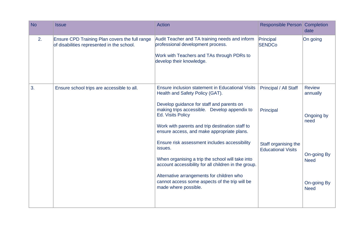| <b>No</b> | <b>Issue</b>                                                                                 | <b>Action</b>                                                                                                                                                                                                                                                                                                 | Responsible Person Completion                     | date                                                     |
|-----------|----------------------------------------------------------------------------------------------|---------------------------------------------------------------------------------------------------------------------------------------------------------------------------------------------------------------------------------------------------------------------------------------------------------------|---------------------------------------------------|----------------------------------------------------------|
| 2.        | Ensure CPD Training Plan covers the full range<br>of disabilities represented in the school. | Audit Teacher and TA training needs and inform<br>professional development process.<br>Work with Teachers and TAs through PDRs to<br>develop their knowledge.                                                                                                                                                 | Principal<br><b>SENDCo</b>                        | On going                                                 |
| 3.        | Ensure school trips are accessible to all.                                                   | Ensure inclusion statement in Educational Visits<br>Health and Safety Policy (GAT).<br>Develop guidance for staff and parents on<br>making trips accessible. Develop appendix to<br><b>Ed. Visits Policy</b><br>Work with parents and trip destination staff to<br>ensure access, and make appropriate plans. | Principal / All Staff<br>Principal                | <b>Review</b><br>annually<br>Ongoing by<br>need          |
|           |                                                                                              | Ensure risk assessment includes accessibility<br>issues.<br>When organising a trip the school will take into<br>account accessibility for all children in the group.<br>Alternative arrangements for children who<br>cannot access some aspects of the trip will be<br>made where possible.                   | Staff organising the<br><b>Educational Visits</b> | On-going By<br><b>Need</b><br>On-going By<br><b>Need</b> |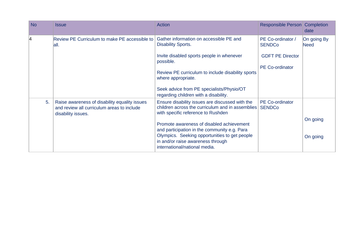| <b>No</b> | Issue                                                                                                             | <b>Action</b>                                                                                                                                                       | Responsible Person Completion           | date                |
|-----------|-------------------------------------------------------------------------------------------------------------------|---------------------------------------------------------------------------------------------------------------------------------------------------------------------|-----------------------------------------|---------------------|
| 4         | Review PE Curriculum to make PE accessible to<br>all.                                                             | Gather information on accessible PE and<br><b>Disability Sports.</b>                                                                                                | PE Co-ordinator /<br><b>SENDCo</b>      | On going By<br>Need |
|           |                                                                                                                   | Invite disabled sports people in whenever<br>possible.                                                                                                              | <b>GDFT PE Director</b>                 |                     |
|           |                                                                                                                   | Review PE curriculum to include disability sports<br>where appropriate.                                                                                             | <b>PE Co-ordinator</b>                  |                     |
|           |                                                                                                                   | Seek advice from PE specialists/Physio/OT<br>regarding children with a disability.                                                                                  |                                         |                     |
| 5.        | Raise awareness of disability equality issues<br>and review all curriculum areas to include<br>disability issues. | Ensure disability issues are discussed with the<br>children across the curriculum and in assemblies<br>with specific reference to Rushden                           | <b>PE Co-ordinator</b><br><b>SENDCo</b> |                     |
|           |                                                                                                                   | Promote awareness of disabled achievement                                                                                                                           |                                         | On going            |
|           |                                                                                                                   | and participation in the community e.g. Para<br>Olympics. Seeking opportunities to get people<br>in and/or raise awareness through<br>international/national media. |                                         | On going            |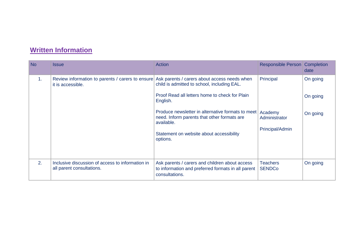## **Written Information**

| <b>No</b> | <b>Issue</b>                                                                  | Action                                                                                                                                                                                                                                                                                                                              | <b>Responsible Person Completion</b>                     | date                             |
|-----------|-------------------------------------------------------------------------------|-------------------------------------------------------------------------------------------------------------------------------------------------------------------------------------------------------------------------------------------------------------------------------------------------------------------------------------|----------------------------------------------------------|----------------------------------|
| 1.        | Review information to parents / carers to ensure<br>it is accessible.         | Ask parents / carers about access needs when<br>child is admitted to school, including EAL.<br>Proof Read all letters home to check for Plain<br>English.<br>Produce newsletter in alternative formats to meet<br>need. Inform parents that other formats are<br>available.<br>Statement on website about accessibility<br>options. | Principal<br>Academy<br>Administrator<br>Principal/Admin | On going<br>On going<br>On going |
| 2.        | Inclusive discussion of access to information in<br>all parent consultations. | Ask parents / carers and children about access<br>to information and preferred formats in all parent<br>consultations.                                                                                                                                                                                                              | <b>Teachers</b><br><b>SENDCo</b>                         | On going                         |